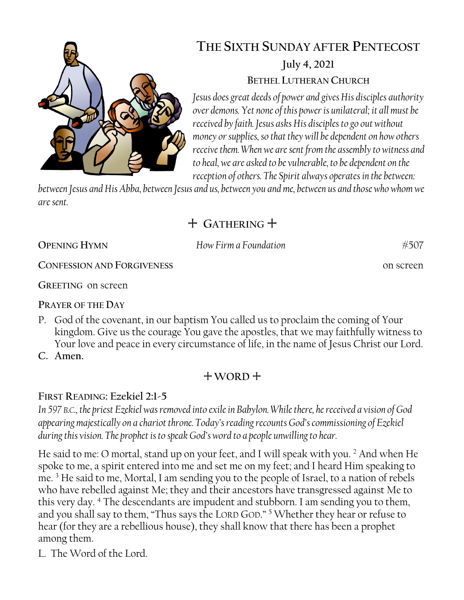

# **THE SIXTH SUNDAY AFTER PENTECOST July 4, 2021 BETHEL LUTHERAN CHURCH**

*Jesus does great deeds of power and gives His disciples authority over demons. Yet none of this power is unilateral; it all must be received by faith. Jesus asks His disciples to go out without money or supplies, so that they will be dependent on how others receive them. When we are sent from the assembly to witness and to heal, we are asked to be vulnerable, to be dependent on the reception of others. The Spirit always operates in the between:* 

*between Jesus and His Abba, between Jesus and us, between you and me, between us and those who whom we are sent.*

# + **GATHERING** +

**OPENING HYMN** *How Firm a Foundation* #507

**CONFESSION AND FORGIVENESS** on screen

**GREETING** on screen

**PRAYER OF THE DAY**

- P. God of the covenant, in our baptism You called us to proclaim the coming of Your kingdom. Give us the courage You gave the apostles, that we may faithfully witness to Your love and peace in every circumstance of life, in the name of Jesus Christ our Lord.
- **C. Amen.**

# $+$  WORD  $+$

# **FIRST READING: Ezekiel 2:1-5**

*In 597 B.C., the priest Ezekiel was removed into exile in Babylon. While there, he received a vision of God appearing majestically on a chariot throne. Today's reading recounts God's commissioning of Ezekiel during this vision. The prophet is to speak God's word to a people unwilling to hear.* 

He said to me: O mortal, stand up on your feet, and I will speak with you. <sup>2</sup> And when He spoke to me, a spirit entered into me and set me on my feet; and I heard Him speaking to me. <sup>3</sup> He said to me, Mortal, I am sending you to the people of Israel, to a nation of rebels who have rebelled against Me; they and their ancestors have transgressed against Me to this very day. <sup>4</sup> The descendants are impudent and stubborn. I am sending you to them, and you shall say to them, "Thus says the LORD GOD." <sup>5</sup> Whether they hear or refuse to hear (for they are a rebellious house), they shall know that there has been a prophet among them.

L. The Word of the Lord.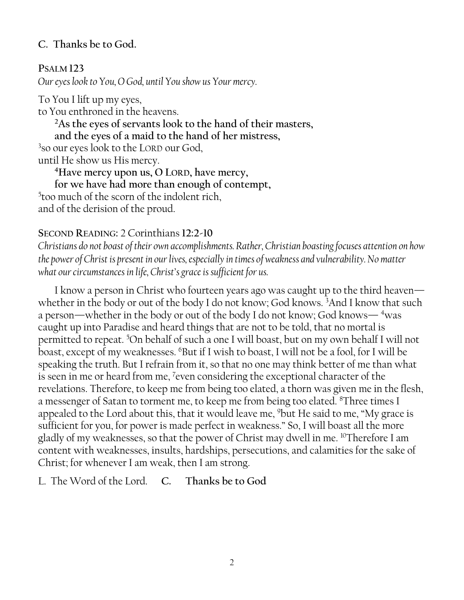### **C. Thanks be to God.**

### **PSALM 123**

*Our eyes look to You, O God, until You show us Your mercy.*

To You I lift up my eyes, to You enthroned in the heavens. **<sup>2</sup>As the eyes of servants look to the hand of their masters, and the eyes of a maid to the hand of her mistress,** 3 so our eyes look to the LORD our God, until He show us His mercy. **<sup>4</sup>Have mercy upon us, O LORD, have mercy, for we have had more than enough of contempt,**

5 too much of the scorn of the indolent rich, and of the derision of the proud.

### **SECOND READING:** 2 Corinthians **12:2-10**

*Christians do not boast of their own accomplishments. Rather, Christian boasting focuses attention on how the power of Christ is present in our lives, especially in times of weakness and vulnerability. No matter what our circumstances in life, Christ's grace is sufficient for us.*

I know a person in Christ who fourteen years ago was caught up to the third heaven whether in the body or out of the body I do not know; God knows. <sup>3</sup>And I know that such a person—whether in the body or out of the body I do not know; God knows— <sup>4</sup>was caught up into Paradise and heard things that are not to be told, that no mortal is permitted to repeat. <sup>5</sup>On behalf of such a one I will boast, but on my own behalf I will not boast, except of my weaknesses. <sup>6</sup>But if I wish to boast, I will not be a fool, for I will be speaking the truth. But I refrain from it, so that no one may think better of me than what is seen in me or heard from me, <sup>7</sup>even considering the exceptional character of the revelations. Therefore, to keep me from being too elated, a thorn was given me in the flesh, a messenger of Satan to torment me, to keep me from being too elated. <sup>8</sup>Three times I appealed to the Lord about this, that it would leave me, <sup>9</sup>but He said to me, "My grace is sufficient for you, for power is made perfect in weakness." So, I will boast all the more gladly of my weaknesses, so that the power of Christ may dwell in me. <sup>10</sup>Therefore I am content with weaknesses, insults, hardships, persecutions, and calamities for the sake of Christ; for whenever I am weak, then I am strong.

L. The Word of the Lord. **C. Thanks be to God**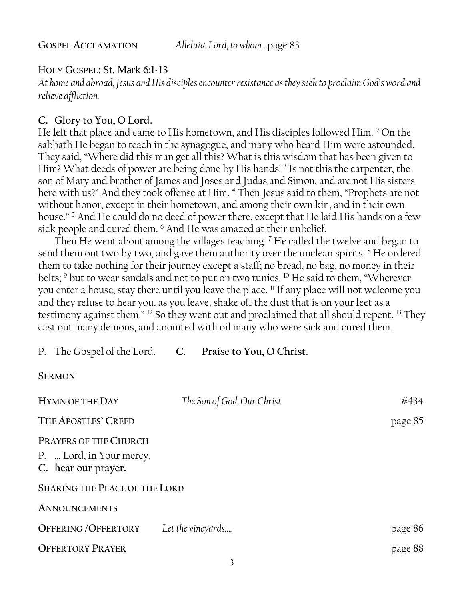#### HOLY GOSPEL: St. Mark **6:1-13**

*At home and abroad, Jesus and His disciples encounter resistance as they seek to proclaim God's word and relieve affliction.*

#### **C. Glory to You, O Lord.**

He left that place and came to His hometown, and His disciples followed Him. <sup>2</sup> On the sabbath He began to teach in the synagogue, and many who heard Him were astounded. They said, "Where did this man get all this? What is this wisdom that has been given to Him? What deeds of power are being done by His hands!<sup>3</sup> Is not this the carpenter, the son of Mary and brother of James and Joses and Judas and Simon, and are not His sisters here with us?" And they took offense at Him. <sup>4</sup> Then Jesus said to them, "Prophets are not without honor, except in their hometown, and among their own kin, and in their own house."<sup>5</sup> And He could do no deed of power there, except that He laid His hands on a few sick people and cured them. <sup>6</sup> And He was amazed at their unbelief.

Then He went about among the villages teaching. <sup>7</sup> He called the twelve and began to send them out two by two, and gave them authority over the unclean spirits. <sup>8</sup> He ordered them to take nothing for their journey except a staff; no bread, no bag, no money in their belts; <sup>9</sup> but to wear sandals and not to put on two tunics. <sup>10</sup> He said to them, "Wherever you enter a house, stay there until you leave the place. <sup>11</sup> If any place will not welcome you and they refuse to hear you, as you leave, shake off the dust that is on your feet as a testimony against them." <sup>12</sup> So they went out and proclaimed that all should repent. <sup>13</sup> They cast out many demons, and anointed with oil many who were sick and cured them.

P. The Gospel of the Lord. **C. Praise to You, O Christ.**

**SERMON**

| <b>HYMN OF THE DAY</b>                                                          | The Son of God, Our Christ | #434    |
|---------------------------------------------------------------------------------|----------------------------|---------|
| THE APOSTLES' CREED                                                             |                            | page 85 |
| <b>PRAYERS OF THE CHURCH</b><br>P.  Lord, in Your mercy,<br>C. hear our prayer. |                            |         |
| <b>SHARING THE PEACE OF THE LORD</b>                                            |                            |         |
| <b>ANNOUNCEMENTS</b>                                                            |                            |         |
| <b>OFFERING/OFFERTORY</b>                                                       | Let the vineyards          | page 86 |
| <b>OFFERTORY PRAYER</b>                                                         |                            | page 88 |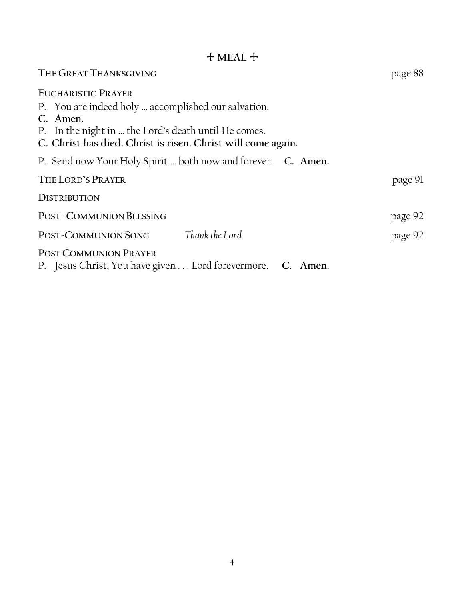## + **MEAL** +

| THE GREAT THANKSGIVING                                                                                               | page 88 |
|----------------------------------------------------------------------------------------------------------------------|---------|
| <b>EUCHARISTIC PRAYER</b>                                                                                            |         |
| P. You are indeed holy  accomplished our salvation.<br>C. Amen.                                                      |         |
| P. In the night in  the Lord's death until He comes.<br>C. Christ has died. Christ is risen. Christ will come again. |         |
| P. Send now Your Holy Spirit  both now and forever. C. Amen.                                                         |         |
| THE LORD'S PRAYER                                                                                                    | page 91 |
| <b>DISTRIBUTION</b>                                                                                                  |         |
| POST-COMMUNION BLESSING                                                                                              | page 92 |
| Thank the Lord<br>POST-COMMUNION SONG                                                                                | page 92 |
| POST COMMUNION PRAYER<br>P. Jesus Christ, You have given Lord forevermore. C. Amen.                                  |         |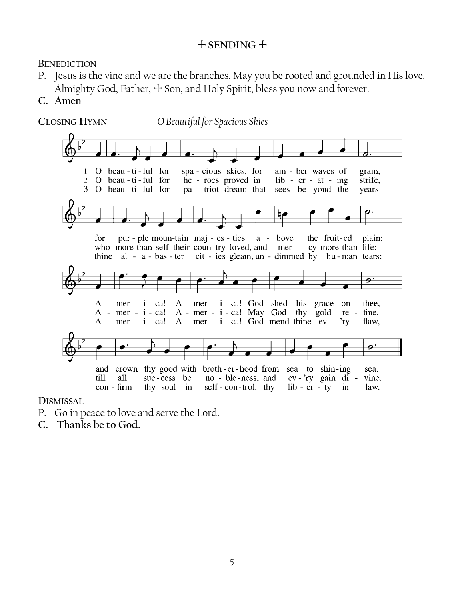## + **SENDING** +

**BENEDICTION**

- P. Jesus is the vine and we are the branches. May you be rooted and grounded in His love. Almighty God, Father,  $+$  Son, and Holy Spirit, bless you now and forever.
- **C. Amen**



**DISMISSAL** 

- P. Go in peace to love and serve the Lord.
- **C. Thanks be to God.**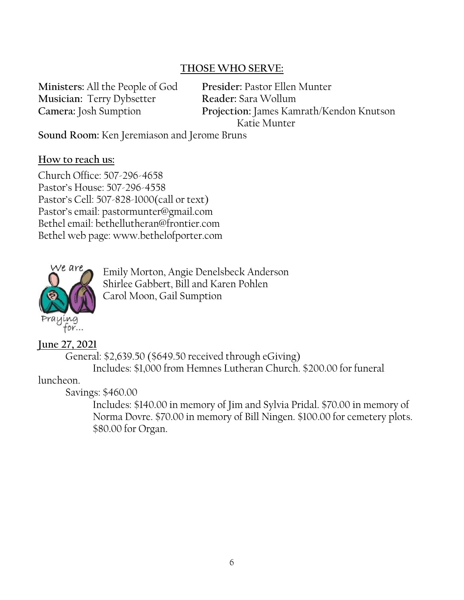### **THOSE WHO SERVE:**

**Ministers:** All the People of God **Presider:** Pastor Ellen Munter **Musician:** Terry Dybsetter **Reader:** Sara Wollum

**Camera:** Josh Sumption **Projection:** James Kamrath/Kendon Knutson Katie Munter

**Sound Room:** Ken Jeremiason and Jerome Bruns

### **How to reach us:**

Church Office: 507-296-4658 Pastor's House: 507-296-4558 Pastor's Cell: 507-828-1000(call or text) Pastor's email: pastormunter@gmail.com Bethel email: bethellutheran@frontier.com Bethel web page: www.bethelofporter.com



Emily Morton, Angie Denelsbeck Anderson Shirlee Gabbert, Bill and Karen Pohlen Carol Moon, Gail Sumption

### **June 27, 2021**

 General: \$2,639.50 (\$649.50 received through eGiving) Includes: \$1,000 from Hemnes Lutheran Church. \$200.00 for funeral

### luncheon.

Savings: \$460.00

Includes: \$140.00 in memory of Jim and Sylvia Pridal. \$70.00 in memory of Norma Dovre. \$70.00 in memory of Bill Ningen. \$100.00 for cemetery plots. \$80.00 for Organ.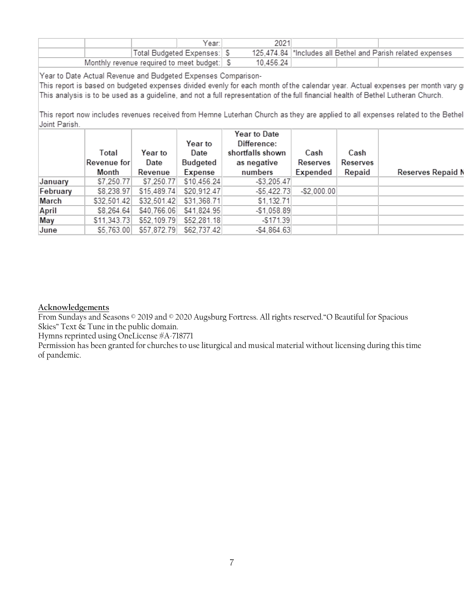|                                               |                            | Year: | 2021      |  |                                                              |
|-----------------------------------------------|----------------------------|-------|-----------|--|--------------------------------------------------------------|
|                                               | Total Budgeted Expenses: S |       |           |  | 125,474.84  *Includes all Bethel and Parish related expenses |
| Monthly revenue required to meet budget:   \$ |                            |       | 10.456.24 |  |                                                              |

Year to Date Actual Revenue and Budgeted Expenses Comparison-

This report is based on budgeted expenses divided evenly for each month of the calendar year. Actual expenses per month vary g This analysis is to be used as a guideline, and not a full representation of the full financial health of Bethel Lutheran Church.

This report now includes revenues received from Hemne Luterhan Church as they are applied to all expenses related to the Bethel Joint Parish.

|          | Total       | Year to     | Year to<br>Date | Year to Date<br>Difference:<br>shortfalls shown | Cash         | Cash     |                   |
|----------|-------------|-------------|-----------------|-------------------------------------------------|--------------|----------|-------------------|
|          | Revenue for | Date        | Budgeted        | as negative                                     | Reserves     | Reserves |                   |
|          | Month       | Revenue     | Expense         | numbers                                         | Expended     | Repaid   | Reserves Repaid I |
| January  | \$7,250.77  | \$7,250.77  | \$10,456.24     | $-$ \$3,205.47                                  |              |          |                   |
| February | \$8,238.97  | \$15,489.74 | \$20,912.47     | $-$5,422.73$                                    | $-$2,000.00$ |          |                   |
| March    | \$32,501.42 | \$32,501.42 | \$31,368.71     | \$1,132.71                                      |              |          |                   |
| April    | \$8,264.64  | \$40,766.06 | \$41,824.95     | $-$1,058.89$                                    |              |          |                   |
| May      | \$11,343.73 | \$52,109.79 | \$52,281.18     | $-$171.39$                                      |              |          |                   |
| June     | \$5,763.00  | \$57,872.79 | \$62,737.42     | $-$4,864.63$                                    |              |          |                   |

#### **Acknowledgements**

From Sundays and Seasons © 2019 and © 2020 Augsburg Fortress. All rights reserved."O Beautiful for Spacious Skies" Text & Tune in the public domain.

Hymns reprinted using OneLicense #A-718771

Permission has been granted for churches to use liturgical and musical material without licensing during this time of pandemic.